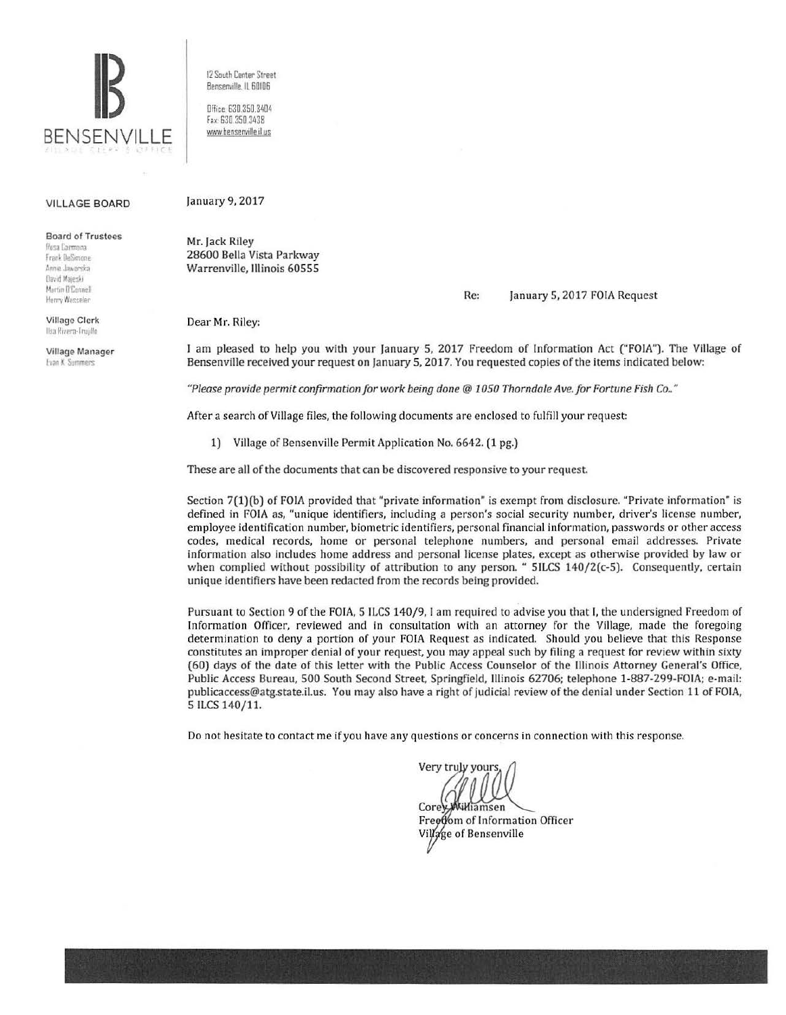

12 South Center Street Bensenville IL 60106

Dffice: 630 350 3404 Fax: 630.350.3438 www.bensenville.il.us

## **VILLAGE BOARD**

**Board of Trustees** 

Resa Carmnoa Frank DeSimone Annie Jaworska **Bavid Majeski** Martin D'Connel Henry Wesseler

Village Clerk Ilsa Rivera-Truillo

Village Manager Evan K. Summers

January 9, 2017

Mr. Jack Riley 28600 Bella Vista Parkway Warrenville, Illinois 60555

> Re: January 5, 2017 FOIA Request

Dear Mr. Riley:

I am pleased to help you with your January 5, 2017 Freedom of Information Act ("FOIA"). The Village of Bensenville received your request on January 5, 2017. You requested copies of the items indicated below:

"Please provide permit confirmation for work being done @ 1050 Thorndale Ave. for Fortune Fish Co.."

After a search of Village files, the following documents are enclosed to fulfill your request:

1) Village of Bensenville Permit Application No. 6642. (1 pg.)

These are all of the documents that can be discovered responsive to your request.

Section 7(1)(b) of FOIA provided that "private information" is exempt from disclosure. "Private information" is defined in FOIA as, "unique identifiers, including a person's social security number, driver's license number, employee identification number, biometric identifiers, personal financial information, passwords or other access codes, medical records, home or personal telephone numbers, and personal email addresses. Private information also includes home address and personal license plates, except as otherwise provided by law or when complied without possibility of attribution to any person. " 5ILCS 140/2(c-5). Consequently, certain unique identifiers have been redacted from the records being provided.

Pursuant to Section 9 of the FOIA, 5 ILCS 140/9, I am required to advise you that I, the undersigned Freedom of Information Officer, reviewed and in consultation with an attorney for the Village, made the foregoing determination to deny a portion of your FOIA Request as indicated. Should you believe that this Response constitutes an improper denial of your request, you may appeal such by filing a request for review within sixty (60) days of the date of this letter with the Public Access Counselor of the Illinois Attorney General's Office, Public Access Bureau, 500 South Second Street, Springfield, Illinois 62706; telephone 1-887-299-FOIA; e-mail: publicaccess@atg.state.il.us. You may also have a right of judicial review of the denial under Section 11 of FOIA, 5 ILCS 140/11.

Do not hesitate to contact me if you have any questions or concerns in connection with this response.

Very truly yours Corey Williamsen Freetom of Information Officer Village of Bensenville